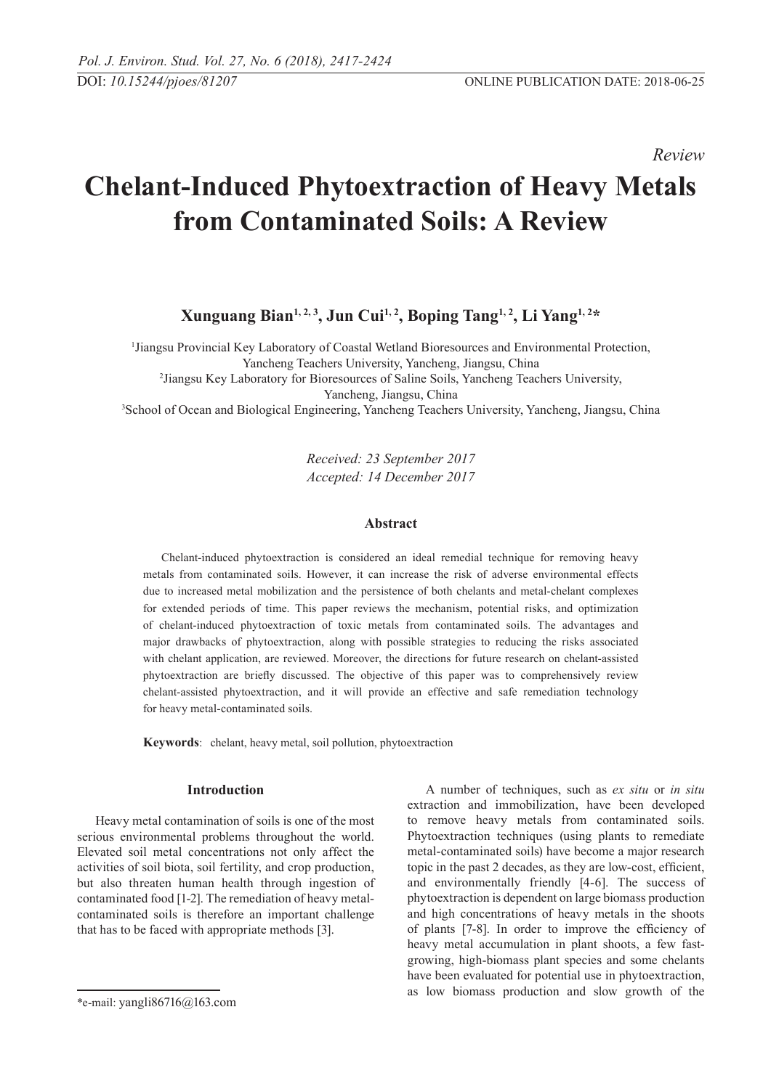*Review* 

# **Chelant-Induced Phytoextraction of Heavy Metals from Contaminated Soils: A Review**

**Xunguang Bian1, 2, 3, Jun Cui1, 2, Boping Tang1, 2, Li Yang1, 2\*** 

1 Jiangsu Provincial Key Laboratory of Coastal Wetland Bioresources and Environmental Protection,

Yancheng Teachers University, Yancheng, Jiangsu, China 2 Jiangsu Key Laboratory for Bioresources of Saline Soils, Yancheng Teachers University,

<sup>3</sup> School of Ocean and Biological Engineering, Yancheng Teachers University, Yancheng, Jiangsu, China

*Received: 23 September 2017 Accepted: 14 December 2017*

## **Abstract**

Chelant-induced phytoextraction is considered an ideal remedial technique for removing heavy metals from contaminated soils. However, it can increase the risk of adverse environmental effects due to increased metal mobilization and the persistence of both chelants and metal-chelant complexes for extended periods of time. This paper reviews the mechanism, potential risks, and optimization of chelant-induced phytoextraction of toxic metals from contaminated soils. The advantages and major drawbacks of phytoextraction, along with possible strategies to reducing the risks associated with chelant application, are reviewed. Moreover, the directions for future research on chelant-assisted phytoextraction are briefly discussed. The objective of this paper was to comprehensively review chelant-assisted phytoextraction, and it will provide an effective and safe remediation technology for heavy metal-contaminated soils.

**Keywords**: chelant, heavy metal, soil pollution, phytoextraction

# **Introduction**

Heavy metal contamination of soils is one of the most serious environmental problems throughout the world. Elevated soil metal concentrations not only affect the activities of soil biota, soil fertility, and crop production, but also threaten human health through ingestion of contaminated food [1-2]. The remediation of heavy metalcontaminated soils is therefore an important challenge that has to be faced with appropriate methods [3].

A number of techniques, such as *ex situ* or *in situ* extraction and immobilization, have been developed to remove heavy metals from contaminated soils. Phytoextraction techniques (using plants to remediate metal-contaminated soils) have become a major research topic in the past 2 decades, as they are low-cost, efficient, and environmentally friendly [4-6]. The success of phytoextraction is dependent on large biomass production and high concentrations of heavy metals in the shoots of plants [7-8]. In order to improve the efficiency of heavy metal accumulation in plant shoots, a few fastgrowing, high-biomass plant species and some chelants have been evaluated for potential use in phytoextraction, as low biomass production and slow growth of the

<sup>\*</sup>e-mail: yangli86716@163.com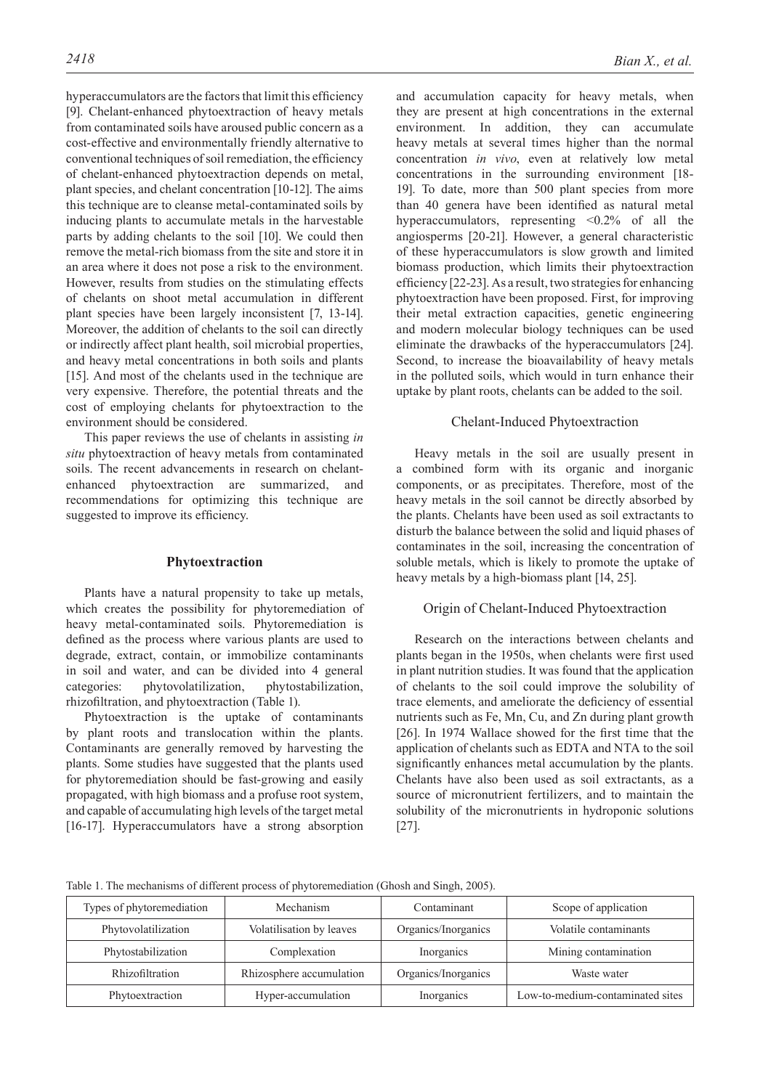hyperaccumulators are the factors that limit this efficiency [9]. Chelant-enhanced phytoextraction of heavy metals from contaminated soils have aroused public concern as a cost-effective and environmentally friendly alternative to conventional techniques of soil remediation, the efficiency of chelant-enhanced phytoextraction depends on metal, plant species, and chelant concentration [10-12]. The aims this technique are to cleanse metal-contaminated soils by inducing plants to accumulate metals in the harvestable parts by adding chelants to the soil [10]. We could then remove the metal-rich biomass from the site and store it in an area where it does not pose a risk to the environment. However, results from studies on the stimulating effects of chelants on shoot metal accumulation in different plant species have been largely inconsistent [7, 13-14]. Moreover, the addition of chelants to the soil can directly or indirectly affect plant health, soil microbial properties, and heavy metal concentrations in both soils and plants [15]. And most of the chelants used in the technique are very expensive. Therefore, the potential threats and the cost of employing chelants for phytoextraction to the environment should be considered.

This paper reviews the use of chelants in assisting *in situ* phytoextraction of heavy metals from contaminated soils. The recent advancements in research on chelantenhanced phytoextraction are summarized, and recommendations for optimizing this technique are suggested to improve its efficiency.

## **Phytoextraction**

Plants have a natural propensity to take up metals, which creates the possibility for phytoremediation of heavy metal-contaminated soils. Phytoremediation is defined as the process where various plants are used to degrade, extract, contain, or immobilize contaminants in soil and water, and can be divided into 4 general categories: phytovolatilization, phytostabilization, rhizofiltration, and phytoextraction (Table 1).

Phytoextraction is the uptake of contaminants by plant roots and translocation within the plants. Contaminants are generally removed by harvesting the plants. Some studies have suggested that the plants used for phytoremediation should be fast-growing and easily propagated, with high biomass and a profuse root system, and capable of accumulating high levels of the target metal [16-17]. Hyperaccumulators have a strong absorption and accumulation capacity for heavy metals, when they are present at high concentrations in the external environment. In addition, they can accumulate heavy metals at several times higher than the normal concentration *in vivo*, even at relatively low metal concentrations in the surrounding environment [18- 19]. To date, more than 500 plant species from more than 40 genera have been identified as natural metal hyperaccumulators, representing  $\langle 0.2\%$  of all the angiosperms [20-21]. However, a general characteristic of these hyperaccumulators is slow growth and limited biomass production, which limits their phytoextraction efficiency [22-23]. As a result, two strategies for enhancing phytoextraction have been proposed. First, for improving their metal extraction capacities, genetic engineering and modern molecular biology techniques can be used eliminate the drawbacks of the hyperaccumulators [24]. Second, to increase the bioavailability of heavy metals in the polluted soils, which would in turn enhance their uptake by plant roots, chelants can be added to the soil.

## Chelant-Induced Phytoextraction

Heavy metals in the soil are usually present in a combined form with its organic and inorganic components, or as precipitates. Therefore, most of the heavy metals in the soil cannot be directly absorbed by the plants. Chelants have been used as soil extractants to disturb the balance between the solid and liquid phases of contaminates in the soil, increasing the concentration of soluble metals, which is likely to promote the uptake of heavy metals by a high-biomass plant [14, 25].

#### Origin of Chelant-Induced Phytoextraction

Research on the interactions between chelants and plants began in the 1950s, when chelants were first used in plant nutrition studies. It was found that the application of chelants to the soil could improve the solubility of trace elements, and ameliorate the deficiency of essential nutrients such as Fe, Mn, Cu, and Zn during plant growth [26]. In 1974 Wallace showed for the first time that the application of chelants such as EDTA and NTA to the soil significantly enhances metal accumulation by the plants. Chelants have also been used as soil extractants, as a source of micronutrient fertilizers, and to maintain the solubility of the micronutrients in hydroponic solutions [27].

Table 1. The mechanisms of different process of phytoremediation (Ghosh and Singh, 2005).

| Types of phytoremediation | Mechanism                | Contaminant         | Scope of application             |
|---------------------------|--------------------------|---------------------|----------------------------------|
| Phytovolatilization       | Volatilisation by leaves | Organics/Inorganics | Volatile contaminants            |
| Phytostabilization        | Complexation             | Inorganics          | Mining contamination             |
| Rhizofiltration           | Rhizosphere accumulation | Organics/Inorganics | Waste water                      |
| Phytoextraction           | Hyper-accumulation       | Inorganics          | Low-to-medium-contaminated sites |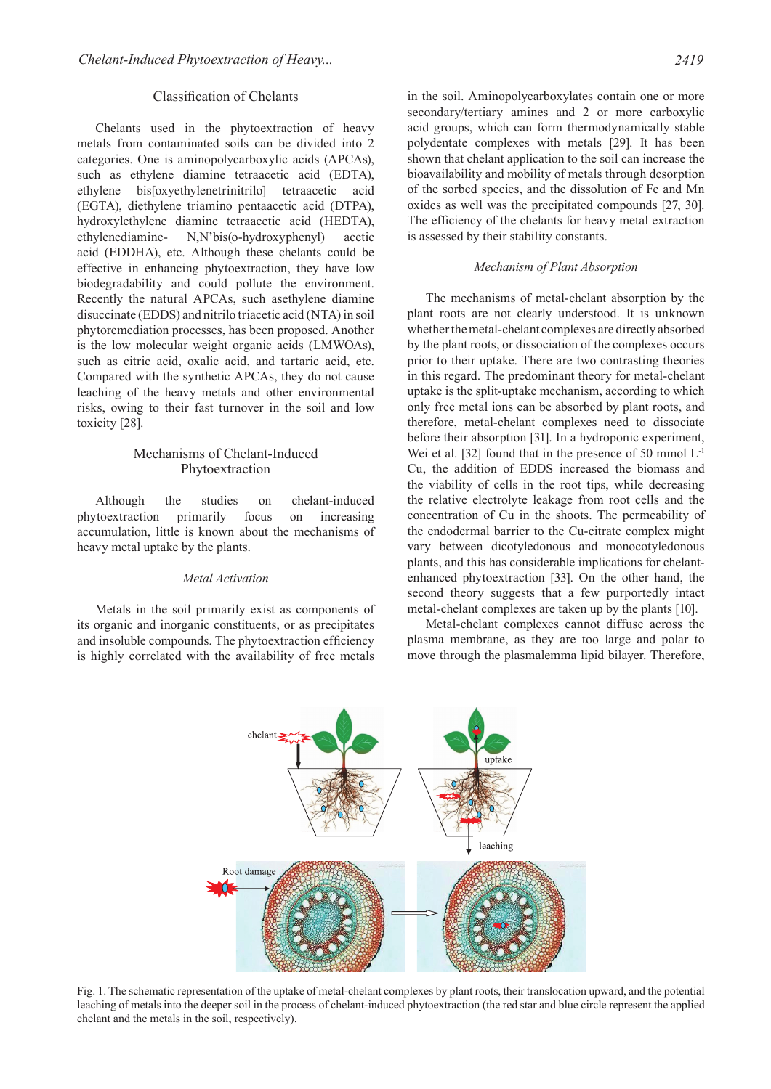## Classification of Chelants

Chelants used in the phytoextraction of heavy metals from contaminated soils can be divided into 2 categories. One is aminopolycarboxylic acids (APCAs), such as ethylene diamine tetraacetic acid (EDTA), ethylene bis[oxyethylenetrinitrilo] tetraacetic acid (EGTA), diethylene triamino pentaacetic acid (DTPA), hydroxylethylene diamine tetraacetic acid (HEDTA), ethylenediamine- N,N'bis(o-hydroxyphenyl) acetic acid (EDDHA), etc. Although these chelants could be effective in enhancing phytoextraction, they have low biodegradability and could pollute the environment. Recently the natural APCAs, such asethylene diamine disuccinate (EDDS) and nitrilo triacetic acid (NTA) in soil phytoremediation processes, has been proposed. Another is the low molecular weight organic acids (LMWOAs), such as citric acid, oxalic acid, and tartaric acid, etc. Compared with the synthetic APCAs, they do not cause leaching of the heavy metals and other environmental risks, owing to their fast turnover in the soil and low toxicity [28].

# Mechanisms of Chelant-Induced Phytoextraction

Although the studies on chelant-induced phytoextraction primarily focus on increasing accumulation, little is known about the mechanisms of heavy metal uptake by the plants.

## *Metal Activation*

Metals in the soil primarily exist as components of its organic and inorganic constituents, or as precipitates and insoluble compounds. The phytoextraction efficiency is highly correlated with the availability of free metals

in the soil. Aminopolycarboxylates contain one or more secondary/tertiary amines and 2 or more carboxylic acid groups, which can form thermodynamically stable polydentate complexes with metals [29]. It has been shown that chelant application to the soil can increase the bioavailability and mobility of metals through desorption of the sorbed species, and the dissolution of Fe and Mn oxides as well was the precipitated compounds [27, 30]. The efficiency of the chelants for heavy metal extraction is assessed by their stability constants.

#### *Mechanism of Plant Absorption*

The mechanisms of metal-chelant absorption by the plant roots are not clearly understood. It is unknown whether the metal-chelant complexes are directly absorbed by the plant roots, or dissociation of the complexes occurs prior to their uptake. There are two contrasting theories in this regard. The predominant theory for metal-chelant uptake is the split-uptake mechanism, according to which only free metal ions can be absorbed by plant roots, and therefore, metal-chelant complexes need to dissociate before their absorption [31]. In a hydroponic experiment, Wei et al. [32] found that in the presence of 50 mmol  $L<sup>-1</sup>$ Cu, the addition of EDDS increased the biomass and the viability of cells in the root tips, while decreasing the relative electrolyte leakage from root cells and the concentration of Cu in the shoots. The permeability of the endodermal barrier to the Cu-citrate complex might vary between dicotyledonous and monocotyledonous plants, and this has considerable implications for chelantenhanced phytoextraction [33]. On the other hand, the second theory suggests that a few purportedly intact metal-chelant complexes are taken up by the plants [10].

Metal-chelant complexes cannot diffuse across the plasma membrane, as they are too large and polar to move through the plasmalemma lipid bilayer. Therefore,



Fig. 1. The schematic representation of the uptake of metal-chelant complexes by plant roots, their translocation upward, and the potential leaching of metals into the deeper soil in the process of chelant-induced phytoextraction (the red star and blue circle represent the applied chelant and the metals in the soil, respectively).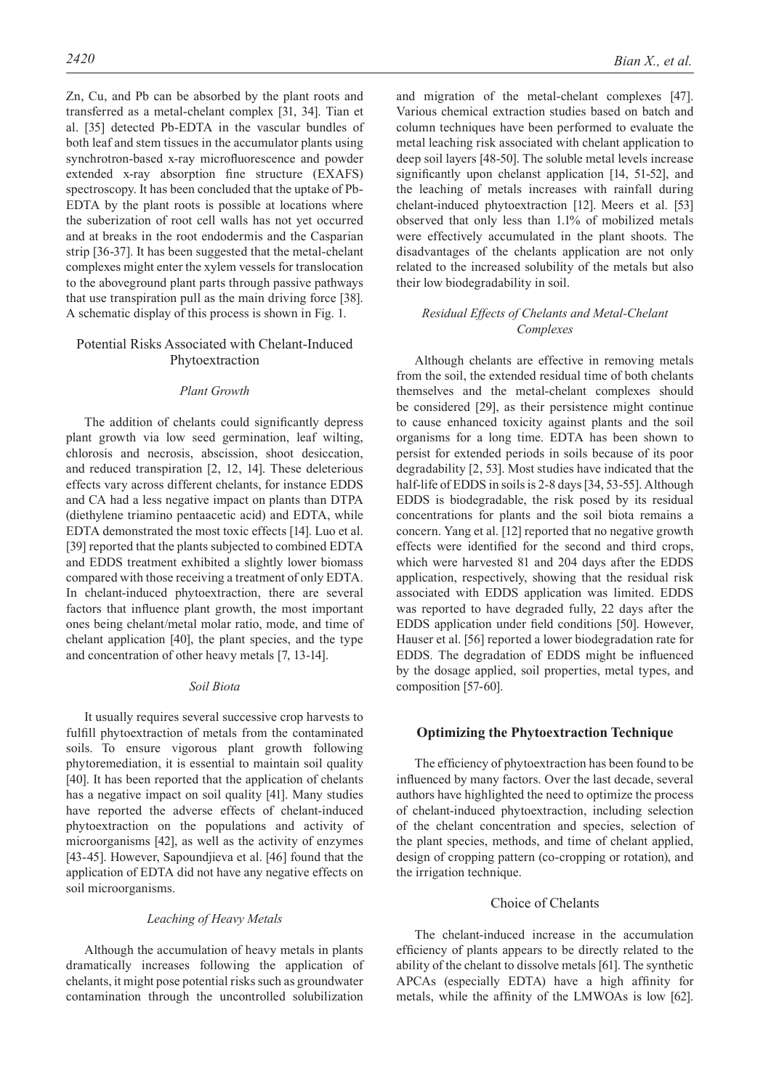Zn, Cu, and Pb can be absorbed by the plant roots and transferred as a metal-chelant complex [31, 34]. Tian et al. [35] detected Pb-EDTA in the vascular bundles of both leaf and stem tissues in the accumulator plants using synchrotron-based x-ray microfluorescence and powder extended x-ray absorption fine structure (EXAFS) spectroscopy. It has been concluded that the uptake of Pb-EDTA by the plant roots is possible at locations where the suberization of root cell walls has not yet occurred and at breaks in the root endodermis and the Casparian strip [36-37]. It has been suggested that the metal-chelant complexes might enter the xylem vessels for translocation to the aboveground plant parts through passive pathways that use transpiration pull as the main driving force [38]. A schematic display of this process is shown in Fig. 1.

## Potential Risks Associated with Chelant-Induced Phytoextraction

## *Plant Growth*

The addition of chelants could significantly depress plant growth via low seed germination, leaf wilting, chlorosis and necrosis, abscission, shoot desiccation, and reduced transpiration [2, 12, 14]. These deleterious effects vary across different chelants, for instance EDDS and CA had a less negative impact on plants than DTPA (diethylene triamino pentaacetic acid) and EDTA, while EDTA demonstrated the most toxic effects [14]. Luo et al. [39] reported that the plants subjected to combined EDTA and EDDS treatment exhibited a slightly lower biomass compared with those receiving a treatment of only EDTA. In chelant-induced phytoextraction, there are several factors that influence plant growth, the most important ones being chelant/metal molar ratio, mode, and time of chelant application [40], the plant species, and the type and concentration of other heavy metals [7, 13-14].

## *Soil Biota*

It usually requires several successive crop harvests to fulfill phytoextraction of metals from the contaminated soils. To ensure vigorous plant growth following phytoremediation, it is essential to maintain soil quality [40]. It has been reported that the application of chelants has a negative impact on soil quality [41]. Many studies have reported the adverse effects of chelant-induced phytoextraction on the populations and activity of microorganisms [42], as well as the activity of enzymes [43-45]. However, Sapoundjieva et al. [46] found that the application of EDTA did not have any negative effects on soil microorganisms.

## *Leaching of Heavy Metals*

Although the accumulation of heavy metals in plants dramatically increases following the application of chelants, it might pose potential risks such as groundwater contamination through the uncontrolled solubilization

and migration of the metal-chelant complexes [47]. Various chemical extraction studies based on batch and column techniques have been performed to evaluate the metal leaching risk associated with chelant application to deep soil layers [48-50]. The soluble metal levels increase significantly upon chelanst application [14, 51-52], and the leaching of metals increases with rainfall during chelant-induced phytoextraction [12]. Meers et al. [53] observed that only less than 1.1% of mobilized metals were effectively accumulated in the plant shoots. The disadvantages of the chelants application are not only related to the increased solubility of the metals but also their low biodegradability in soil.

## *Residual Effects of Chelants and Metal-Chelant Complexes*

Although chelants are effective in removing metals from the soil, the extended residual time of both chelants themselves and the metal-chelant complexes should be considered [29], as their persistence might continue to cause enhanced toxicity against plants and the soil organisms for a long time. EDTA has been shown to persist for extended periods in soils because of its poor degradability [2, 53]. Most studies have indicated that the half-life of EDDS in soils is 2-8 days [34, 53-55]. Although EDDS is biodegradable, the risk posed by its residual concentrations for plants and the soil biota remains a concern. Yang et al. [12] reported that no negative growth effects were identified for the second and third crops, which were harvested 81 and 204 days after the EDDS application, respectively, showing that the residual risk associated with EDDS application was limited. EDDS was reported to have degraded fully, 22 days after the EDDS application under field conditions [50]. However, Hauser et al. [56] reported a lower biodegradation rate for EDDS. The degradation of EDDS might be influenced by the dosage applied, soil properties, metal types, and composition [57-60].

## **Optimizing the Phytoextraction Technique**

The efficiency of phytoextraction has been found to be influenced by many factors. Over the last decade, several authors have highlighted the need to optimize the process of chelant-induced phytoextraction, including selection of the chelant concentration and species, selection of the plant species, methods, and time of chelant applied, design of cropping pattern (co-cropping or rotation), and the irrigation technique.

## Choice of Chelants

The chelant-induced increase in the accumulation efficiency of plants appears to be directly related to the ability of the chelant to dissolve metals [61]. The synthetic APCAs (especially EDTA) have a high affinity for metals, while the affinity of the LMWOAs is low [62].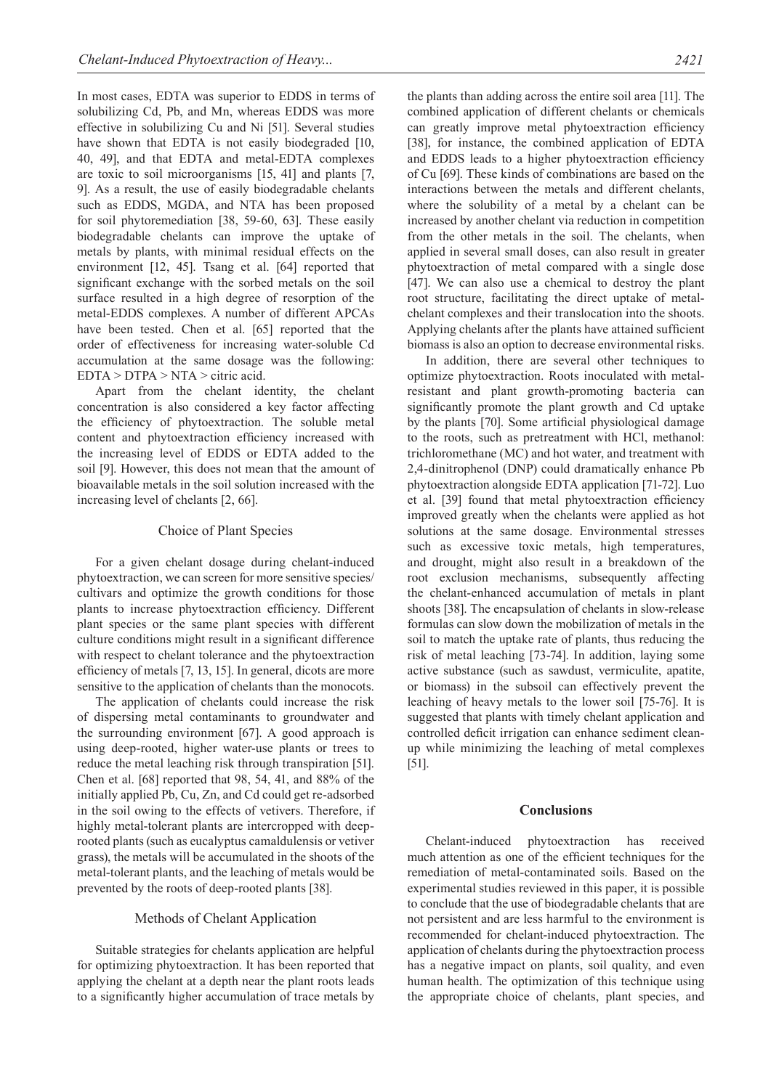In most cases, EDTA was superior to EDDS in terms of solubilizing Cd, Pb, and Mn, whereas EDDS was more effective in solubilizing Cu and Ni [51]. Several studies have shown that EDTA is not easily biodegraded [10, 40, 49], and that EDTA and metal-EDTA complexes are toxic to soil microorganisms [15, 41] and plants [7, 9]. As a result, the use of easily biodegradable chelants such as EDDS, MGDA, and NTA has been proposed for soil phytoremediation [38, 59-60, 63]. These easily biodegradable chelants can improve the uptake of metals by plants, with minimal residual effects on the environment [12, 45]. Tsang et al. [64] reported that significant exchange with the sorbed metals on the soil surface resulted in a high degree of resorption of the metal-EDDS complexes. A number of different APCAs have been tested. Chen et al. [65] reported that the order of effectiveness for increasing water-soluble Cd accumulation at the same dosage was the following: EDTA > DTPA > NTA > citric acid.

Apart from the chelant identity, the chelant concentration is also considered a key factor affecting the efficiency of phytoextraction. The soluble metal content and phytoextraction efficiency increased with the increasing level of EDDS or EDTA added to the soil [9]. However, this does not mean that the amount of bioavailable metals in the soil solution increased with the increasing level of chelants [2, 66].

## Choice of Plant Species

For a given chelant dosage during chelant-induced phytoextraction, we can screen for more sensitive species/ cultivars and optimize the growth conditions for those plants to increase phytoextraction efficiency. Different plant species or the same plant species with different culture conditions might result in a significant difference with respect to chelant tolerance and the phytoextraction efficiency of metals [7, 13, 15]. In general, dicots are more sensitive to the application of chelants than the monocots.

The application of chelants could increase the risk of dispersing metal contaminants to groundwater and the surrounding environment [67]. A good approach is using deep-rooted, higher water-use plants or trees to reduce the metal leaching risk through transpiration [51]. Chen et al. [68] reported that 98, 54, 41, and 88% of the initially applied Pb, Cu, Zn, and Cd could get re-adsorbed in the soil owing to the effects of vetivers. Therefore, if highly metal-tolerant plants are intercropped with deeprooted plants (such as eucalyptus camaldulensis or vetiver grass), the metals will be accumulated in the shoots of the metal-tolerant plants, and the leaching of metals would be prevented by the roots of deep-rooted plants [38].

## Methods of Chelant Application

Suitable strategies for chelants application are helpful for optimizing phytoextraction. It has been reported that applying the chelant at a depth near the plant roots leads to a significantly higher accumulation of trace metals by the plants than adding across the entire soil area [11]. The combined application of different chelants or chemicals can greatly improve metal phytoextraction efficiency [38], for instance, the combined application of EDTA and EDDS leads to a higher phytoextraction efficiency of Cu [69]. These kinds of combinations are based on the interactions between the metals and different chelants, where the solubility of a metal by a chelant can be increased by another chelant via reduction in competition from the other metals in the soil. The chelants, when applied in several small doses, can also result in greater phytoextraction of metal compared with a single dose [47]. We can also use a chemical to destroy the plant root structure, facilitating the direct uptake of metalchelant complexes and their translocation into the shoots. Applying chelants after the plants have attained sufficient biomass is also an option to decrease environmental risks.

In addition, there are several other techniques to optimize phytoextraction. Roots inoculated with metalresistant and plant growth-promoting bacteria can significantly promote the plant growth and Cd uptake by the plants [70]. Some artificial physiological damage to the roots, such as pretreatment with HCl, methanol: trichloromethane (MC) and hot water, and treatment with 2,4-dinitrophenol (DNP) could dramatically enhance Pb phytoextraction alongside EDTA application [71-72]. Luo et al. [39] found that metal phytoextraction efficiency improved greatly when the chelants were applied as hot solutions at the same dosage. Environmental stresses such as excessive toxic metals, high temperatures, and drought, might also result in a breakdown of the root exclusion mechanisms, subsequently affecting the chelant-enhanced accumulation of metals in plant shoots [38]. The encapsulation of chelants in slow-release formulas can slow down the mobilization of metals in the soil to match the uptake rate of plants, thus reducing the risk of metal leaching [73-74]. In addition, laying some active substance (such as sawdust, vermiculite, apatite, or biomass) in the subsoil can effectively prevent the leaching of heavy metals to the lower soil [75-76]. It is suggested that plants with timely chelant application and controlled deficit irrigation can enhance sediment cleanup while minimizing the leaching of metal complexes [51].

#### **Conclusions**

Chelant-induced phytoextraction has received much attention as one of the efficient techniques for the remediation of metal-contaminated soils. Based on the experimental studies reviewed in this paper, it is possible to conclude that the use of biodegradable chelants that are not persistent and are less harmful to the environment is recommended for chelant-induced phytoextraction. The application of chelants during the phytoextraction process has a negative impact on plants, soil quality, and even human health. The optimization of this technique using the appropriate choice of chelants, plant species, and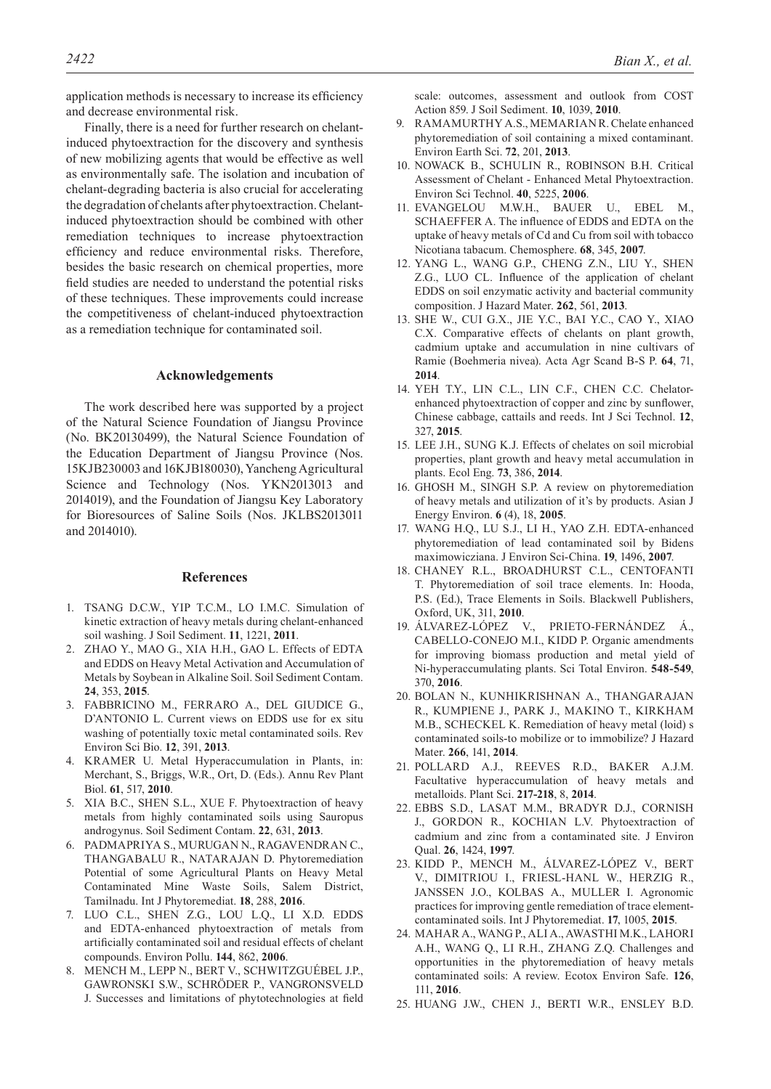application methods is necessary to increase its efficiency and decrease environmental risk.

Finally, there is a need for further research on chelantinduced phytoextraction for the discovery and synthesis of new mobilizing agents that would be effective as well as environmentally safe. The isolation and incubation of chelant-degrading bacteria is also crucial for accelerating the degradation of chelants after phytoextraction. Chelantinduced phytoextraction should be combined with other remediation techniques to increase phytoextraction efficiency and reduce environmental risks. Therefore, besides the basic research on chemical properties, more field studies are needed to understand the potential risks of these techniques. These improvements could increase the competitiveness of chelant-induced phytoextraction as a remediation technique for contaminated soil.

## **Acknowledgements**

The work described here was supported by a project of the Natural Science Foundation of Jiangsu Province (No. BK20130499), the Natural Science Foundation of the Education Department of Jiangsu Province (Nos. 15KJB230003 and 16KJB180030), Yancheng Agricultural Science and Technology (Nos. YKN2013013 and 2014019), and the Foundation of Jiangsu Key Laboratory for Bioresources of Saline Soils (Nos. JKLBS2013011 and 2014010).

#### **References**

- 1. Tsang D.C.W., Yip T.C.M., Lo I.M.C. Simulation of kinetic extraction of heavy metals during chelant-enhanced soil washing. J Soil Sediment. **11**, 1221, **2011**.
- 2. Zhao Y., Mao G., Xia H.H., Gao L. Effects of EDTA and EDDS on Heavy Metal Activation and Accumulation of Metals by Soybean in Alkaline Soil. Soil Sediment Contam. **24**, 353, **2015**.
- 3. Fabbricino M., Ferraro A., Del Giudice G., D'ANTONIO L. Current views on EDDS use for ex situ washing of potentially toxic metal contaminated soils. Rev Environ Sci Bio. **12**, 391, **2013**.
- 4. KRAMER U. Metal Hyperaccumulation in Plants, in: Merchant, S., Briggs, W.R., Ort, D. (Eds.). Annu Rev Plant Biol. **61**, 517, **2010**.
- 5. XIA B.C., SHEN S.L., XUE F. Phytoextraction of heavy metals from highly contaminated soils using Sauropus androgynus. Soil Sediment Contam. **22**, 631, **2013**.
- 6. Padmapriya S., Murugan N., Ragavendran C., THANGABALU R., NATARAJAN D. Phytoremediation Potential of some Agricultural Plants on Heavy Metal Contaminated Mine Waste Soils, Salem District, Tamilnadu. Int J Phytoremediat. **18**, 288, **2016**.
- 7. Luo C.L., Shen Z.G., Lou L.Q., Li X.D. EDDS and EDTA-enhanced phytoextraction of metals from artificially contaminated soil and residual effects of chelant compounds. Environ Pollu. **144**, 862, **2006**.
- 8. Mench M., Lepp N., Bert V., Schwitzguébel J.P., Gawronski S.W., Schröder P., Vangronsveld J. Successes and limitations of phytotechnologies at field

scale: outcomes, assessment and outlook from COST Action 859. J Soil Sediment. **10**, 1039, **2010**.

- 9. RAMAMURTHY A.S., MEMARIAN R. Chelate enhanced phytoremediation of soil containing a mixed contaminant. Environ Earth Sci. **72**, 201, **2013**.
- 10. Nowack B., Schulin R., Robinson B.H. Critical Assessment of Chelant - Enhanced Metal Phytoextraction. Environ Sci Technol. **40**, 5225, **2006**.
- 11. Evangelou M.W.H., Bauer U., Ebel M., SCHAEFFER A. The influence of EDDS and EDTA on the uptake of heavy metals of Cd and Cu from soil with tobacco Nicotiana tabacum. Chemosphere. **68**, 345, **2007**.
- 12. Yang L., Wang G.P., Cheng Z.N., Liu Y., Shen Z.G., Luo CL. Influence of the application of chelant EDDS on soil enzymatic activity and bacterial community composition. J Hazard Mater. **262**, 561, **2013**.
- 13. She W., Cui G.X., Jie Y.C., Bai Y.C., Cao Y., Xiao C.X. Comparative effects of chelants on plant growth, cadmium uptake and accumulation in nine cultivars of Ramie (Boehmeria nivea). Acta Agr Scand B-S P. **64**, 71, **2014**.
- 14. Yeh T.Y., Lin C.L., Lin C.F., Chen C.C. Chelatorenhanced phytoextraction of copper and zinc by sunflower, Chinese cabbage, cattails and reeds. Int J Sci Technol. **12**, 327, **2015**.
- 15. Lee J.H., Sung K.J. Effects of chelates on soil microbial properties, plant growth and heavy metal accumulation in plants. Ecol Eng. **73**, 386, **2014**.
- 16. GHOSH M., SINGH S.P. A review on phytoremediation of heavy metals and utilization of it's by products. Asian J Energy Environ. **6** (4), 18, **2005**.
- 17. Wang H.Q., Lu S.J., Li H., Yao Z.H. EDTA-enhanced phytoremediation of lead contaminated soil by Bidens maximowicziana. J Environ Sci-China. **19**, 1496, **2007**.
- 18. Chaney R.L., Broadhurst C.L., Centofanti T. Phytoremediation of soil trace elements. In: Hooda, P.S. (Ed.), Trace Elements in Soils. Blackwell Publishers, Oxford, UK, 311, **2010**.
- 19. Álvarez-López V., Prieto-Fernández Á., CABELLO-CONEJO M.I., KIDD P. Organic amendments for improving biomass production and metal yield of Ni-hyperaccumulating plants. Sci Total Environ. **548-549**, 370, **2016**.
- 20. Bolan N., Kunhikrishnan A., Thangarajan R., Kumpiene J., Park J., Makino T., Kirkham M.B., SCHECKEL K. Remediation of heavy metal (loid) s contaminated soils-to mobilize or to immobilize? J Hazard Mater. **266**, 141, **2014**.
- 21. Pollard A.J., Reeves R.D., Baker A.J.M. Facultative hyperaccumulation of heavy metals and metalloids. Plant Sci. **217-218**, 8, **2014**.
- 22. Ebbs S.D., Lasat M.M., Bradyr D.J., Cornish J., GORDON R., KOCHIAN L.V. Phytoextraction of cadmium and zinc from a contaminated site. J Environ Qual. **26**, 1424, **1997**.
- 23. Kidd P., Mench M., Álvarez-López V., Bert V., Dimitriou I., Friesl-Hanl W., Herzig R., Janssen J.O., Kolbas A., Muller I. Agronomic practices for improving gentle remediation of trace elementcontaminated soils. Int J Phytoremediat. **17**, 1005, **2015**.
- 24. Mahar A., Wang P., Ali A., Awasthi M.K., Lahori A.H., Wang Q., Li R.H., Zhang Z.Q. Challenges and opportunities in the phytoremediation of heavy metals contaminated soils: A review. Ecotox Environ Safe. **126**, 111, **2016**.
- 25. Huang J.W., Chen J., Berti W.R., Ensley B.D.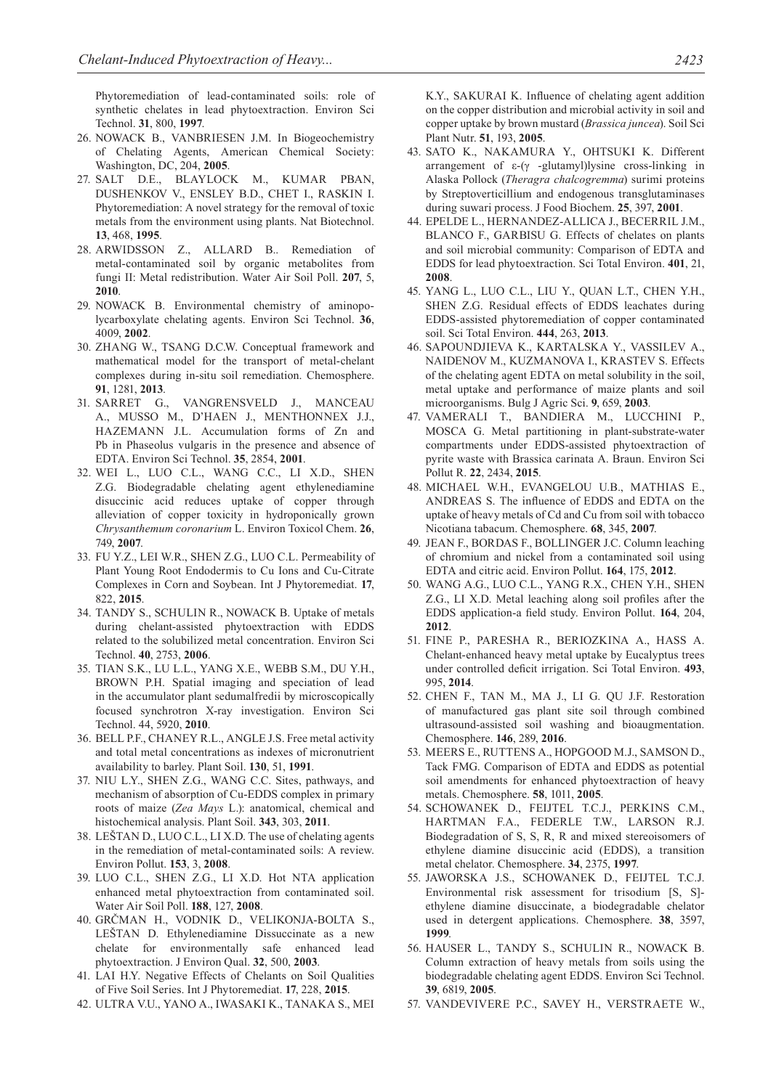Phytoremediation of lead-contaminated soils: role of synthetic chelates in lead phytoextraction. Environ Sci Technol. **31**, 800, **1997**.

- 26. NOWACK B., VANBRIESEN J.M. In Biogeochemistry of Chelating Agents, American Chemical Society: Washington, DC, 204, **2005**.
- 27. Salt D.E., Blaylock M., Kumar PBAN, Dushenkov V., Ensley B.D., Chet I., Raskin I. Phytoremediation: A novel strategy for the removal of toxic metals from the environment using plants. Nat Biotechnol. **13**, 468, **1995**.
- 28. ARWIDSSON Z., ALLARD B.. Remediation of metal-contaminated soil by organic metabolites from fungi II: Metal redistribution. Water Air Soil Poll. **207**, 5, **2010**.
- 29. Nowack B. Environmental chemistry of aminopolycarboxylate chelating agents. Environ Sci Technol. **36**, 4009, **2002**.
- 30. Zhang W., Tsang D.C.W. Conceptual framework and mathematical model for the transport of metal-chelant complexes during in-situ soil remediation. Chemosphere. **91**, 1281, **2013**.
- 31. Sarret G., Vangrensveld J., Manceau A., Musso M., D'Haen J., Menthonnex J.J., HAZEMANN J.L. Accumulation forms of Zn and Pb in Phaseolus vulgaris in the presence and absence of EDTA. Environ Sci Technol. **35**, 2854, **2001**.
- 32. Wei L., Luo C.L., Wang C.C., Li X.D., Shen Z.G. Biodegradable chelating agent ethylenediamine disuccinic acid reduces uptake of copper through alleviation of copper toxicity in hydroponically grown *Chrysanthemum coronarium* L. Environ Toxicol Chem. **26**, 749, **2007**.
- 33. Fu Y.Z., Lei W.R., Shen Z.G., Luo C.L. Permeability of Plant Young Root Endodermis to Cu Ions and Cu-Citrate Complexes in Corn and Soybean. Int J Phytoremediat. **17**, 822, **2015**.
- 34. Tandy S., Schulin R., Nowack B. Uptake of metals during chelant-assisted phytoextraction with EDDS related to the solubilized metal concentration. Environ Sci Technol. **40**, 2753, **2006**.
- 35. Tian S.K., Lu L.L., Yang X.E., Webb S.M., Du Y.H., BROWN P.H. Spatial imaging and speciation of lead in the accumulator plant sedumalfredii by microscopically focused synchrotron X-ray investigation. Environ Sci Technol. 44, 5920, **2010**.
- 36. Bell P.F., Chaney R.L., Angle J.S. Free metal activity and total metal concentrations as indexes of micronutrient availability to barley. Plant Soil. **130**, 51, **1991**.
- 37. Niu L.Y., Shen Z.G., Wang C.C. Sites, pathways, and mechanism of absorption of Cu-EDDS complex in primary roots of maize (*Zea Mays* L.): anatomical, chemical and histochemical analysis. Plant Soil. **343**, 303, **2011**.
- 38. Leštan D., Luo C.L., Li X.D. The use of chelating agents in the remediation of metal-contaminated soils: A review. Environ Pollut. **153**, 3, **2008**.
- 39. Luo C.L., Shen Z.G., Li X.D. Hot NTA application enhanced metal phytoextraction from contaminated soil. Water Air Soil Poll. **188**, 127, **2008**.
- 40. Grčman H., Vodnik D., Velikonja-Bolta S., LEŠTAN D. Ethylenediamine Dissuccinate as a new chelate for environmentally safe enhanced lead phytoextraction. J Environ Qual. **32**, 500, **2003**.
- 41. Lai H.Y. Negative Effects of Chelants on Soil Qualities of Five Soil Series. Int J Phytoremediat. **17**, 228, **2015**.
- 42. Ultra V.U., Yano A., Iwasaki K., Tanaka S., Mei

K.Y., SAKURAI K. Influence of chelating agent addition on the copper distribution and microbial activity in soil and copper uptake by brown mustard (*Brassica juncea*). Soil Sci Plant Nutr. **51**, 193, **2005**.

- 43. Sato K., Nakamura Y., Ohtsuki K. Different arrangement of ε-(γ -glutamyl)lysine cross-linking in Alaska Pollock (*Theragra chalcogremma*) surimi proteins by Streptoverticillium and endogenous transglutaminases during suwari process. J Food Biochem. **25**, 397, **2001**.
- 44. Epelde L., Hernandez-Allica J., Becerril J.M., BLANCO F., GARBISU G. Effects of chelates on plants and soil microbial community: Comparison of EDTA and EDDS for lead phytoextraction. Sci Total Environ. **401**, 21, **2008**.
- 45. Yang L., Luo C.L., Liu Y., Quan L.T., Chen Y.H., SHEN Z.G. Residual effects of EDDS leachates during EDDS-assisted phytoremediation of copper contaminated soil. Sci Total Environ. **444**, 263, **2013**.
- 46. Sapoundjieva K., Kartalska Y., Vassilev A., Naidenov M., Kuzmanova I., Krastev S. Effects of the chelating agent EDTA on metal solubility in the soil, metal uptake and performance of maize plants and soil microorganisms. Bulg J Agric Sci. **9**, 659, **2003**.
- 47. Vamerali T., Bandiera M., Lucchini P., Mosca G. Metal partitioning in plant-substrate-water compartments under EDDS-assisted phytoextraction of pyrite waste with Brassica carinata A. Braun. Environ Sci Pollut R. **22**, 2434, **2015**.
- 48. Michael W.H., Evangelou U.B., Mathias E., ANDREAS S. The influence of EDDS and EDTA on the uptake of heavy metals of Cd and Cu from soil with tobacco Nicotiana tabacum. Chemosphere. **68**, 345, **2007**.
- 49. JEAN F., BORDAS F., BOLLINGER J.C. Column leaching of chromium and nickel from a contaminated soil using EDTA and citric acid. Environ Pollut. **164**, 175, **2012**.
- 50. Wang A.G., Luo C.L., Yang R.X., Chen Y.H., Shen Z.G., Li X.D. Metal leaching along soil profiles after the EDDS application-a field study. Environ Pollut. **164**, 204, **2012**.
- 51. Fine P., Paresha R., Beriozkina A., Hass A. Chelant-enhanced heavy metal uptake by Eucalyptus trees under controlled deficit irrigation. Sci Total Environ. **493**, 995, **2014**.
- 52. Chen F., Tan M., Ma J., Li G. Qu J.F. Restoration of manufactured gas plant site soil through combined ultrasound-assisted soil washing and bioaugmentation. Chemosphere. **146**, 289, **2016**.
- 53. Meers E., Ruttens A., Hopgood M.J., Samson D., Tack FMG. Comparison of EDTA and EDDS as potential soil amendments for enhanced phytoextraction of heavy metals. Chemosphere. **58**, 1011, **2005**.
- 54. Schowanek D., Feijtel T.C.J., Perkins C.M., Hartman F.A., Federle T.W., Larson R.J. Biodegradation of S, S, R, R and mixed stereoisomers of ethylene diamine disuccinic acid (EDDS), a transition metal chelator. Chemosphere. **34**, 2375, **1997**.
- 55. Jaworska J.S., Schowanek D., Feijtel T.C.J. Environmental risk assessment for trisodium [S, S] ethylene diamine disuccinate, a biodegradable chelator used in detergent applications. Chemosphere. **38**, 3597, **1999**.
- 56. Hauser L., Tandy S., Schulin R., Nowack B. Column extraction of heavy metals from soils using the biodegradable chelating agent EDDS. Environ Sci Technol. **39**, 6819, **2005**.
- 57. Vandevivere P.C., Savey H., Verstraete W.,